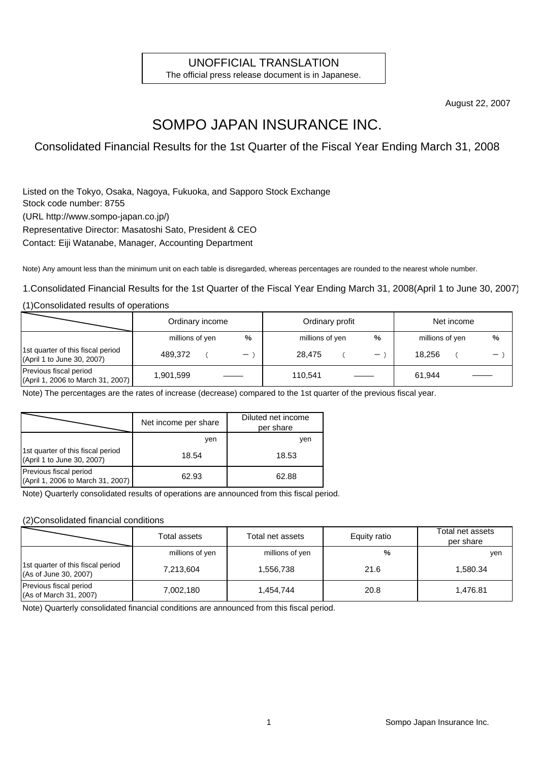### UNOFFICIAL TRANSLATION

The official press release document is in Japanese.

August 22, 2007

# SOMPO JAPAN INSURANCE INC.

Consolidated Financial Results for the 1st Quarter of the Fiscal Year Ending March 31, 2008

Listed on the Tokyo, Osaka, Nagoya, Fukuoka, and Sapporo Stock Exchange Stock code number: 8755 (URL http://www.sompo-japan.co.jp/) Representative Director: Masatoshi Sato, President & CEO Contact: Eiji Watanabe, Manager, Accounting Department

Note) Any amount less than the minimum unit on each table is disregarded, whereas percentages are rounded to the nearest whole number.

1.Consolidated Financial Results for the 1st Quarter of the Fiscal Year Ending March 31, 2008(April 1 to June 30, 2007)

(1)Consolidated results of operations

|                                                                 | Ordinary income |  |                   | Ordinary profit |  |   | Net income      |  |   |
|-----------------------------------------------------------------|-----------------|--|-------------------|-----------------|--|---|-----------------|--|---|
|                                                                 | millions of yen |  | %                 | millions of yen |  | % | millions of yen |  | % |
| 1st quarter of this fiscal period<br>(April 1 to June 30, 2007) | 489.372         |  | $\qquad \qquad -$ | 28.475          |  | — | 18.256          |  |   |
| Previous fiscal period<br>(April 1, 2006 to March 31, 2007)     | 1,901,599       |  |                   | 110.541         |  |   | 61,944          |  |   |

Note) The percentages are the rates of increase (decrease) compared to the 1st quarter of the previous fiscal year.

|                                                                 | Net income per share | Diluted net income<br>per share |
|-----------------------------------------------------------------|----------------------|---------------------------------|
|                                                                 | ven                  | ven                             |
| 1st quarter of this fiscal period<br>(April 1 to June 30, 2007) | 18.54                | 18.53                           |
| Previous fiscal period<br>(April 1, 2006 to March 31, 2007)     | 62.93                | 62.88                           |

Note) Quarterly consolidated results of operations are announced from this fiscal period.

#### (2)Consolidated financial conditions

|                                                            | Total assets    | Total net assets | Equity ratio | Total net assets<br>per share |
|------------------------------------------------------------|-----------------|------------------|--------------|-------------------------------|
|                                                            | millions of yen | millions of yen  | %            | ven                           |
| 1st quarter of this fiscal period<br>(As of June 30, 2007) | 7,213,604       | 1,556,738        | 21.6         | 1.580.34                      |
| Previous fiscal period<br>(As of March 31, 2007)           | 7,002,180       | 1.454.744        | 20.8         | 1.476.81                      |

Note) Quarterly consolidated financial conditions are announced from this fiscal period.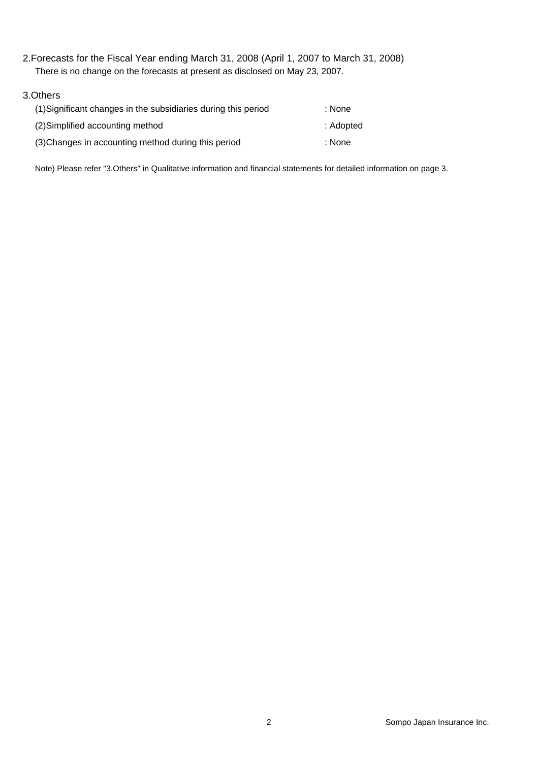2.Forecasts for the Fiscal Year ending March 31, 2008 (April 1, 2007 to March 31, 2008) There is no change on the forecasts at present as disclosed on May 23, 2007.

### 3.Others (1)Significant changes in the subsidiaries during this period : None (2)Simplified accounting method : Adopted (3)Changes in accounting method during this period : None

Note) Please refer "3.Others" in Qualitative information and financial statements for detailed information on page 3.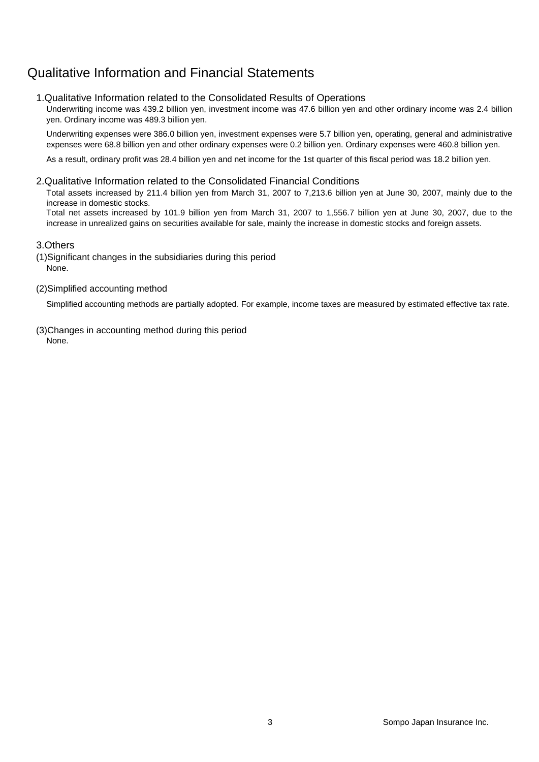# Qualitative Information and Financial Statements

### 1.Qualitative Information related to the Consolidated Results of Operations

Underwriting income was 439.2 billion yen, investment income was 47.6 billion yen and other ordinary income was 2.4 billion yen. Ordinary income was 489.3 billion yen.

Underwriting expenses were 386.0 billion yen, investment expenses were 5.7 billion yen, operating, general and administrative expenses were 68.8 billion yen and other ordinary expenses were 0.2 billion yen. Ordinary expenses were 460.8 billion yen.

As a result, ordinary profit was 28.4 billion yen and net income for the 1st quarter of this fiscal period was 18.2 billion yen.

#### 2.Qualitative Information related to the Consolidated Financial Conditions

Total assets increased by 211.4 billion yen from March 31, 2007 to 7,213.6 billion yen at June 30, 2007, mainly due to the increase in domestic stocks.

Total net assets increased by 101.9 billion yen from March 31, 2007 to 1,556.7 billion yen at June 30, 2007, due to the increase in unrealized gains on securities available for sale, mainly the increase in domestic stocks and foreign assets.

### 3.Others

(1)Significant changes in the subsidiaries during this period None.

#### (2)Simplified accounting method

Simplified accounting methods are partially adopted. For example, income taxes are measured by estimated effective tax rate.

(3)Changes in accounting method during this period None.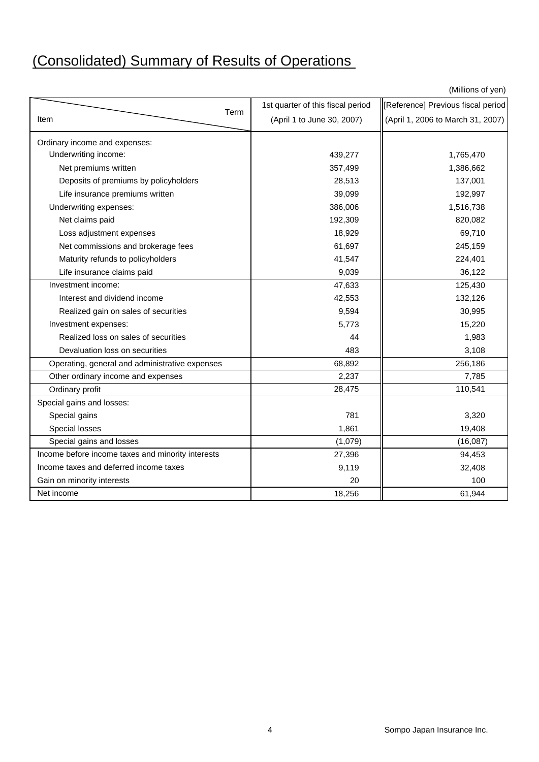# (Consolidated) Summary of Results of Operations

(Millions of yen)

|                                                   | 1st quarter of this fiscal period | Reference] Previous fiscal period |
|---------------------------------------------------|-----------------------------------|-----------------------------------|
| Term<br>Item                                      | (April 1 to June 30, 2007)        | (April 1, 2006 to March 31, 2007) |
| Ordinary income and expenses:                     |                                   |                                   |
| Underwriting income:                              | 439,277                           | 1,765,470                         |
| Net premiums written                              | 357,499                           | 1,386,662                         |
| Deposits of premiums by policyholders             | 28,513                            | 137,001                           |
| Life insurance premiums written                   | 39,099                            | 192,997                           |
| Underwriting expenses:                            | 386,006                           | 1,516,738                         |
| Net claims paid                                   | 192,309                           | 820,082                           |
| Loss adjustment expenses                          | 18,929                            | 69,710                            |
| Net commissions and brokerage fees                | 61,697                            | 245,159                           |
| Maturity refunds to policyholders                 | 41,547                            | 224,401                           |
| Life insurance claims paid                        | 9,039                             | 36,122                            |
| Investment income:                                | 47,633                            | 125,430                           |
| Interest and dividend income                      | 42,553                            | 132,126                           |
| Realized gain on sales of securities              | 9,594                             | 30,995                            |
| Investment expenses:                              | 5,773                             | 15,220                            |
| Realized loss on sales of securities              | 44                                | 1,983                             |
| Devaluation loss on securities                    | 483                               | 3,108                             |
| Operating, general and administrative expenses    | 68,892                            | 256,186                           |
| Other ordinary income and expenses                | 2,237                             | 7,785                             |
| Ordinary profit                                   | 28,475                            | 110,541                           |
| Special gains and losses:                         |                                   |                                   |
| Special gains                                     | 781                               | 3,320                             |
| Special losses                                    | 1,861                             | 19,408                            |
| Special gains and losses                          | (1,079)                           | (16,087)                          |
| Income before income taxes and minority interests | 27,396                            | 94,453                            |
| Income taxes and deferred income taxes            | 9,119                             | 32,408                            |
| Gain on minority interests                        | 20                                | 100                               |
| Net income                                        | 18,256                            | 61,944                            |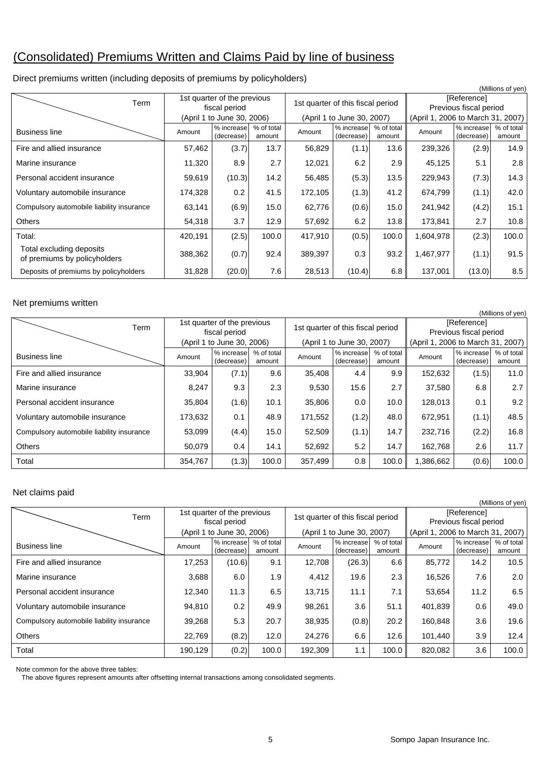# (Consolidated) Premiums Written and Claims Paid by line of business

| Direct premiums written (including deposits of premiums by policyholders) |  |
|---------------------------------------------------------------------------|--|
|                                                                           |  |

|                                                          |                                              |                            |                      |                                   |                            |                      |                                       |                          | (Millions of yen)    |
|----------------------------------------------------------|----------------------------------------------|----------------------------|----------------------|-----------------------------------|----------------------------|----------------------|---------------------------------------|--------------------------|----------------------|
| Term                                                     | 1st quarter of the previous<br>fiscal period |                            |                      | 1st quarter of this fiscal period |                            |                      | [Reference]<br>Previous fiscal period |                          |                      |
|                                                          |                                              | (April 1 to June 30, 2006) |                      |                                   | (April 1 to June 30, 2007) |                      | (April 1, 2006 to March 31, 2007)     |                          |                      |
| <b>Business line</b>                                     | Amount                                       | % increase<br>(decrease)   | % of total<br>amount | Amount                            | % increase<br>(decrease)   | % of total<br>amount | Amount                                | % increase<br>(decrease) | % of total<br>amount |
| Fire and allied insurance                                | 57,462                                       | (3.7)                      | 13.7                 | 56,829                            | (1.1)                      | 13.6                 | 239,326                               | (2.9)                    | 14.9                 |
| Marine insurance                                         | 11,320                                       | 8.9                        | 2.7                  | 12,021                            | 6.2                        | 2.9                  | 45,125                                | 5.1                      | 2.8                  |
| Personal accident insurance                              | 59,619                                       | (10.3)                     | 14.2                 | 56,485                            | (5.3)                      | 13.5                 | 229,943                               | (7.3)                    | 14.3                 |
| Voluntary automobile insurance                           | 174,328                                      | 0.2                        | 41.5                 | 172,105                           | (1.3)                      | 41.2                 | 674,799                               | (1.1)                    | 42.0                 |
| Compulsory automobile liability insurance                | 63,141                                       | (6.9)                      | 15.0                 | 62,776                            | (0.6)                      | 15.0                 | 241,942                               | (4.2)                    | 15.1                 |
| <b>Others</b>                                            | 54,318                                       | 3.7                        | 12.9                 | 57,692                            | 6.2                        | 13.8                 | 173,841                               | 2.7                      | 10.8                 |
| Total:                                                   | 420,191                                      | (2.5)                      | 100.0                | 417,910                           | (0.5)                      | 100.0                | 1,604,978                             | (2.3)                    | 100.0                |
| Total excluding deposits<br>of premiums by policyholders | 388,362                                      | (0.7)                      | 92.4                 | 389,397                           | 0.3                        | 93.2                 | 1,467,977                             | (1.1)                    | 91.5                 |
| Deposits of premiums by policyholders                    | 31,828                                       | (20.0)                     | 7.6                  | 28,513                            | (10.4)                     | 6.8                  | 137,001                               | (13.0)                   | 8.5                  |

#### Net premiums written

| (Millions of yen)                         |                                              |                            |                      |         |                                   |                      |                                   |                                       |                      |  |
|-------------------------------------------|----------------------------------------------|----------------------------|----------------------|---------|-----------------------------------|----------------------|-----------------------------------|---------------------------------------|----------------------|--|
| Term                                      | 1st quarter of the previous<br>fiscal period |                            |                      |         | 1st quarter of this fiscal period |                      |                                   | [Reference]<br>Previous fiscal period |                      |  |
|                                           |                                              | (April 1 to June 30, 2006) |                      |         | (April 1 to June 30, 2007)        |                      | (April 1, 2006 to March 31, 2007) |                                       |                      |  |
| <b>Business line</b>                      | Amount                                       | % increase<br>(decrease)   | % of total<br>amount | Amount  | % increase<br>(decrease)          | % of total<br>amount | Amount                            | % increase<br>(decrease)              | % of total<br>amount |  |
| Fire and allied insurance                 | 33,904                                       | (7.1)                      | 9.6                  | 35,408  | 4.4                               | 9.9                  | 152,632                           | (1.5)                                 | 11.0                 |  |
| Marine insurance                          | 8,247                                        | 9.3                        | 2.3                  | 9,530   | 15.6                              | 2.7                  | 37,580                            | 6.8                                   | 2.7                  |  |
| Personal accident insurance               | 35,804                                       | (1.6)                      | 10.1                 | 35,806  | 0.0                               | 10.0                 | 128,013                           | 0.1                                   | 9.2                  |  |
| Voluntary automobile insurance            | 173,632                                      | 0.1                        | 48.9                 | 171,552 | (1.2)                             | 48.0                 | 672,951                           | (1.1)                                 | 48.5                 |  |
| Compulsory automobile liability insurance | 53,099                                       | (4.4)                      | 15.0                 | 52,509  | (1.1)                             | 14.7                 | 232,716                           | (2.2)                                 | 16.8                 |  |
| <b>Others</b>                             | 50,079                                       | 0.4                        | 14.1                 | 52,692  | 5.2                               | 14.7                 | 162,768                           | $2.6\,$                               | 11.7                 |  |
| Total                                     | 354,767                                      | (1.3)                      | 100.0                | 357,499 | 0.8                               | 100.0                | 1,386,662                         | (0.6)                                 | 100.0                |  |

#### Net claims paid

| Net claims paid                           |                            |                             |                      |                                   |                            |                      |                                   |                          |                      |  |
|-------------------------------------------|----------------------------|-----------------------------|----------------------|-----------------------------------|----------------------------|----------------------|-----------------------------------|--------------------------|----------------------|--|
| (Millions of yen)                         |                            |                             |                      |                                   |                            |                      |                                   |                          |                      |  |
| Term                                      |                            | 1st quarter of the previous |                      | 1st quarter of this fiscal period |                            |                      | [Reference]                       |                          |                      |  |
|                                           | fiscal period              |                             |                      |                                   |                            |                      |                                   | Previous fiscal period   |                      |  |
|                                           | (April 1 to June 30, 2006) |                             |                      |                                   | (April 1 to June 30, 2007) |                      | (April 1, 2006 to March 31, 2007) |                          |                      |  |
| <b>Business line</b>                      | Amount                     | % increase<br>(decrease)    | % of total<br>amount | Amount                            | % increase<br>(decrease)   | % of total<br>amount | Amount                            | % increase<br>(decrease) | % of total<br>amount |  |
| Fire and allied insurance                 | 17,253                     | (10.6)                      | 9.1                  | 12,708                            | (26.3)                     | 6.6                  | 85,772                            | 14.2                     | 10.5                 |  |
| Marine insurance                          | 3,688                      | 6.0                         | 1.9                  | 4,412                             | 19.6                       | 2.3                  | 16,526                            | 7.6                      | 2.0                  |  |
| Personal accident insurance               | 12,340                     | 11.3                        | 6.5                  | 13,715                            | 11.1                       | 7.1                  | 53,654                            | 11.2                     | 6.5                  |  |
|                                           |                            |                             |                      |                                   |                            |                      |                                   |                          |                      |  |
| Voluntary automobile insurance            | 94,810                     | 0.2                         | 49.9                 | 98,261                            | 3.6                        | 51.1                 | 401,839                           | 0.6                      | 49.0                 |  |
| Compulsory automobile liability insurance | 39,268                     | 5.3                         | 20.7                 | 38,935                            | (0.8)                      | 20.2                 | 160,848                           | 3.6                      | 19.6                 |  |
| <b>Others</b>                             | 22,769                     | (8.2)                       | 12.0                 | 24,276                            | 6.6                        | 12.6                 | 101,440                           | 3.9                      | 12.4                 |  |
| Total                                     | 190,129                    | (0.2)                       | 100.0                | 192,309                           | 1.1                        | 100.0                | 820,082                           | 3.6                      | 100.0                |  |

Note common for the above three tables:

The above figures represent amounts after offsetting internal transactions among consolidated segments.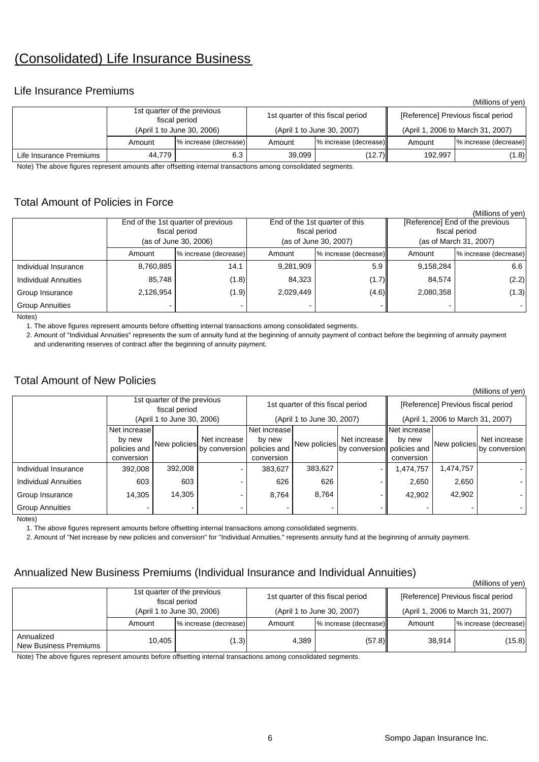# (Consolidated) Life Insurance Business

### Life Insurance Premiums

|                         |        |                                              |        |                                   |                                    | (Millions of yen)     |  |
|-------------------------|--------|----------------------------------------------|--------|-----------------------------------|------------------------------------|-----------------------|--|
|                         |        | 1st quarter of the previous<br>fiscal period |        | 1st quarter of this fiscal period | [Reference] Previous fiscal period |                       |  |
|                         |        | (April 1 to June 30, 2006)                   |        | (April 1 to June 30, 2007)        | (April 1, 2006 to March 31, 2007)  |                       |  |
|                         | Amount | % increase (decrease)                        | Amount | % increase (decrease)             | Amount                             | % increase (decrease) |  |
| Life Insurance Premiums | 44.779 | 6.3                                          | 39.099 | (12.7)                            | 192.997                            | (1.8)                 |  |

Note) The above figures represent amounts after offsetting internal transactions among consolidated segments.

### Total Amount of Policies in Force

|                             |                                        |                                    |           |                                |                                 | (Millions of yen)     |  |  |
|-----------------------------|----------------------------------------|------------------------------------|-----------|--------------------------------|---------------------------------|-----------------------|--|--|
|                             |                                        | End of the 1st quarter of previous |           | End of the 1st quarter of this | [Reference] End of the previous |                       |  |  |
|                             | fiscal period<br>(as of June 30, 2006) |                                    |           | fiscal period                  |                                 | fiscal period         |  |  |
|                             |                                        |                                    |           | (as of June 30, 2007)          | (as of March 31, 2007)          |                       |  |  |
|                             | Amount                                 | % increase (decrease)              | Amount    | % increase (decrease)          | Amount                          | % increase (decrease) |  |  |
| Individual Insurance        | 8,760,885                              | 14.1                               | 9,281,909 | 5.9                            | 9,158,284                       | 6.6                   |  |  |
| <b>Individual Annuities</b> | 85.748                                 | (1.8)                              | 84,323    | (1.7)                          | 84,574                          | (2.2)                 |  |  |
| Group Insurance             | 2,126,954                              | (1.9)                              | 2,029,449 | (4.6)                          | 2,080,358                       | (1.3)                 |  |  |
| <b>Group Annuities</b>      |                                        |                                    |           |                                |                                 |                       |  |  |

Notes)

1. The above figures represent amounts before offsetting internal transactions among consolidated segments.

 2. Amount of "Individual Annuities" represents the sum of annuity fund at the beginning of annuity payment of contract before the beginning of annuity payment and underwriting reserves of contract after the beginning of annuity payment.

### Total Amount of New Policies

|                             |                                              |              |                            |                        |                                   |                            |                        |                                    | (Millions of yen) |  |  |
|-----------------------------|----------------------------------------------|--------------|----------------------------|------------------------|-----------------------------------|----------------------------|------------------------|------------------------------------|-------------------|--|--|
|                             | 1st quarter of the previous<br>fiscal period |              |                            |                        | 1st quarter of this fiscal period |                            |                        | [Reference] Previous fiscal period |                   |  |  |
|                             | (April 1 to June 30, 2006)                   |              |                            |                        | (April 1 to June 30, 2007)        |                            |                        | (April 1, 2006 to March 31, 2007)  |                   |  |  |
|                             | Net increase!<br>by new                      | New policies | Net increase               | Net increase<br>by new | New policies                      | Net increase II            | Net increase<br>by new |                                    | Net increase      |  |  |
|                             | policies and<br>conversion                   |              | by conversion policies and | conversion             |                                   | by conversion policies and | conversion             | New policies                       | by conversion     |  |  |
| Individual Insurance        | 392,008                                      | 392,008      | -                          | 383,627                | 383,627                           |                            | 1,474,757              | 1,474,757                          |                   |  |  |
| <b>Individual Annuities</b> | 603                                          | 603          |                            | 626                    | 626                               |                            | 2,650                  | 2,650                              |                   |  |  |
| Group Insurance             | 14,305                                       | 14,305       |                            | 8,764                  | 8,764                             |                            | 42,902                 | 42,902                             |                   |  |  |
| <b>Group Annuities</b>      |                                              |              |                            |                        |                                   |                            |                        |                                    |                   |  |  |

Notes)

1. The above figures represent amounts before offsetting internal transactions among consolidated segments.

2. Amount of "Net increase by new policies and conversion" for "Individual Annuities." represents annuity fund at the beginning of annuity payment.

### Annualized New Business Premiums (Individual Insurance and Individual Annuities)

 $(Millione of von)$ 

| $\frac{1}{2}$                       |        |                                              |        |                                   |                                    |                       |  |  |  |  |
|-------------------------------------|--------|----------------------------------------------|--------|-----------------------------------|------------------------------------|-----------------------|--|--|--|--|
|                                     |        | 1st quarter of the previous<br>fiscal period |        | 1st quarter of this fiscal period | [Reference] Previous fiscal period |                       |  |  |  |  |
|                                     |        | (April 1 to June 30, 2006)                   |        | (April 1 to June 30, 2007)        | (April 1, 2006 to March 31, 2007)  |                       |  |  |  |  |
|                                     | Amount | % increase (decrease)                        | Amount | % increase (decrease)             | Amount                             | % increase (decrease) |  |  |  |  |
| Annualized<br>New Business Premiums | 10.405 | (1.3)                                        | 4.389  | (57.8)                            | 38.914                             | (15.8)                |  |  |  |  |

Note) The above figures represent amounts before offsetting internal transactions among consolidated segments.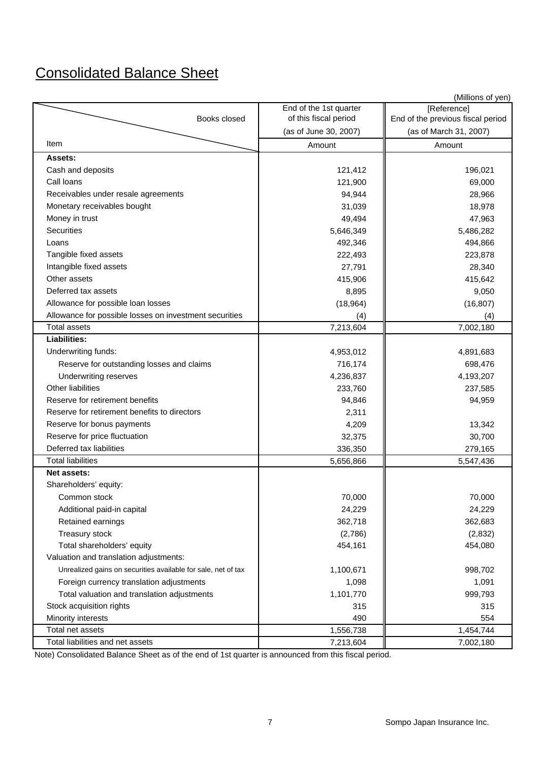# Consolidated Balance Sheet

|                                                               |                        | (Millions of yen)                 |
|---------------------------------------------------------------|------------------------|-----------------------------------|
|                                                               | End of the 1st quarter | [Reference]                       |
| Books closed                                                  | of this fiscal period  | End of the previous fiscal period |
|                                                               | (as of June 30, 2007)  | (as of March 31, 2007)            |
| Item                                                          | Amount                 | Amount                            |
| Assets:                                                       |                        |                                   |
| Cash and deposits                                             | 121,412                | 196,021                           |
| Call loans                                                    | 121,900                | 69,000                            |
| Receivables under resale agreements                           | 94,944                 | 28,966                            |
| Monetary receivables bought                                   | 31,039                 | 18,978                            |
| Money in trust                                                | 49,494                 | 47,963                            |
| Securities                                                    | 5,646,349              | 5,486,282                         |
| Loans                                                         | 492,346                | 494,866                           |
| Tangible fixed assets                                         | 222,493                | 223,878                           |
| Intangible fixed assets                                       | 27,791                 | 28,340                            |
| Other assets                                                  | 415,906                | 415,642                           |
| Deferred tax assets                                           | 8,895                  | 9,050                             |
| Allowance for possible loan losses                            | (18, 964)              | (16, 807)                         |
| Allowance for possible losses on investment securities        | (4)                    | (4)                               |
| <b>Total assets</b>                                           | 7,213,604              | 7,002,180                         |
| <b>Liabilities:</b>                                           |                        |                                   |
| Underwriting funds:                                           | 4,953,012              | 4,891,683                         |
| Reserve for outstanding losses and claims                     | 716,174                | 698,476                           |
| Underwriting reserves                                         | 4,236,837              | 4,193,207                         |
| Other liabilities                                             | 233,760                | 237,585                           |
| Reserve for retirement benefits                               | 94,846                 | 94,959                            |
| Reserve for retirement benefits to directors                  | 2,311                  |                                   |
| Reserve for bonus payments                                    | 4,209                  | 13,342                            |
| Reserve for price fluctuation                                 | 32,375                 | 30,700                            |
| Deferred tax liabilities                                      | 336,350                | 279,165                           |
| <b>Total liabilities</b>                                      | 5,656,866              | 5,547,436                         |
| Net assets:                                                   |                        |                                   |
| Shareholders' equity:                                         |                        |                                   |
| Common stock                                                  | 70,000                 | 70,000                            |
| Additional paid-in capital                                    | 24,229                 | 24,229                            |
| Retained earnings                                             | 362,718                | 362,683                           |
| Treasury stock                                                | (2,786)                | (2,832)                           |
| Total shareholders' equity                                    | 454,161                | 454,080                           |
| Valuation and translation adjustments:                        |                        |                                   |
| Unrealized gains on securities available for sale, net of tax | 1,100,671              | 998,702                           |
| Foreign currency translation adjustments                      | 1,098                  | 1,091                             |
| Total valuation and translation adjustments                   | 1,101,770              | 999,793                           |
| Stock acquisition rights                                      | 315                    | 315                               |
| Minority interests                                            | 490                    | 554                               |
| Total net assets                                              | 1,556,738              | 1,454,744                         |
| Total liabilities and net assets                              | 7,213,604              | 7,002,180                         |

Note) Consolidated Balance Sheet as of the end of 1st quarter is announced from this fiscal period.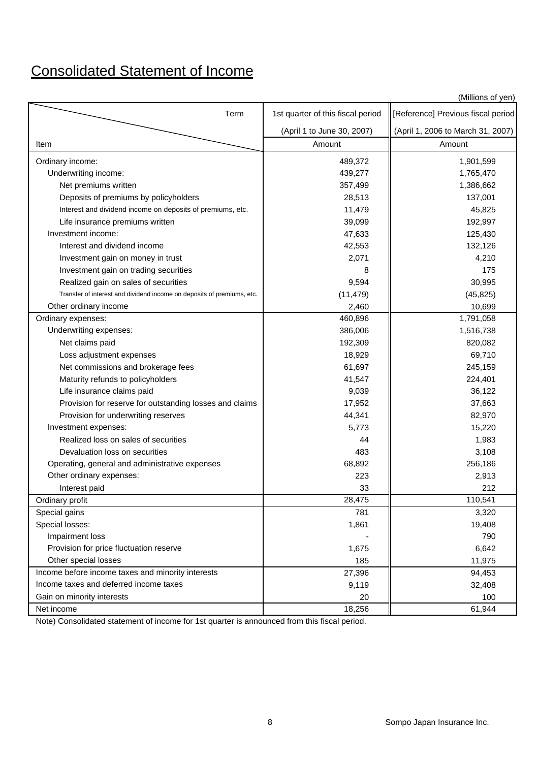# Consolidated Statement of Income

|                                                                        |                                   | (Millions of yen)                  |
|------------------------------------------------------------------------|-----------------------------------|------------------------------------|
| Term                                                                   | 1st quarter of this fiscal period | [Reference] Previous fiscal period |
|                                                                        | (April 1 to June 30, 2007)        | (April 1, 2006 to March 31, 2007)  |
| Item                                                                   | Amount                            | Amount                             |
| Ordinary income:                                                       | 489,372                           | 1,901,599                          |
| Underwriting income:                                                   | 439,277                           | 1,765,470                          |
| Net premiums written                                                   | 357,499                           | 1,386,662                          |
| Deposits of premiums by policyholders                                  | 28,513                            | 137,001                            |
| Interest and dividend income on deposits of premiums, etc.             | 11,479                            | 45,825                             |
| Life insurance premiums written                                        | 39,099                            | 192,997                            |
| Investment income:                                                     | 47,633                            | 125,430                            |
| Interest and dividend income                                           | 42,553                            | 132,126                            |
| Investment gain on money in trust                                      | 2,071                             | 4,210                              |
| Investment gain on trading securities                                  | 8                                 | 175                                |
| Realized gain on sales of securities                                   | 9,594                             | 30,995                             |
| Transfer of interest and dividend income on deposits of premiums, etc. | (11, 479)                         | (45, 825)                          |
| Other ordinary income                                                  | 2,460                             | 10,699                             |
| Ordinary expenses:                                                     | 460,896                           | 1,791,058                          |
| Underwriting expenses:                                                 | 386,006                           | 1,516,738                          |
| Net claims paid                                                        | 192,309                           | 820,082                            |
| Loss adjustment expenses                                               | 18,929                            | 69,710                             |
| Net commissions and brokerage fees                                     | 61,697                            | 245,159                            |
| Maturity refunds to policyholders                                      | 41,547                            | 224,401                            |
| Life insurance claims paid                                             | 9,039                             | 36,122                             |
| Provision for reserve for outstanding losses and claims                | 17,952                            | 37,663                             |
| Provision for underwriting reserves                                    | 44,341                            | 82,970                             |
| Investment expenses:                                                   | 5,773                             | 15,220                             |
| Realized loss on sales of securities                                   | 44                                | 1,983                              |
| Devaluation loss on securities                                         | 483                               | 3,108                              |
| Operating, general and administrative expenses                         | 68,892                            | 256,186                            |
| Other ordinary expenses:                                               | 223                               | 2,913                              |
| Interest paid                                                          | 33                                | 212                                |
| Ordinary profit                                                        | 28,475                            | 110,541                            |
| Special gains                                                          | 781                               | 3,320                              |
| Special losses:                                                        | 1,861                             | 19,408                             |
| Impairment loss                                                        |                                   | 790                                |
| Provision for price fluctuation reserve                                | 1,675                             | 6,642                              |
| Other special losses                                                   | 185                               | 11,975                             |
| Income before income taxes and minority interests                      | 27,396                            | 94,453                             |
| Income taxes and deferred income taxes                                 | 9,119                             | 32,408                             |
| Gain on minority interests                                             | 20                                | 100                                |
| Net income                                                             | 18,256                            | 61,944                             |

Note) Consolidated statement of income for 1st quarter is announced from this fiscal period.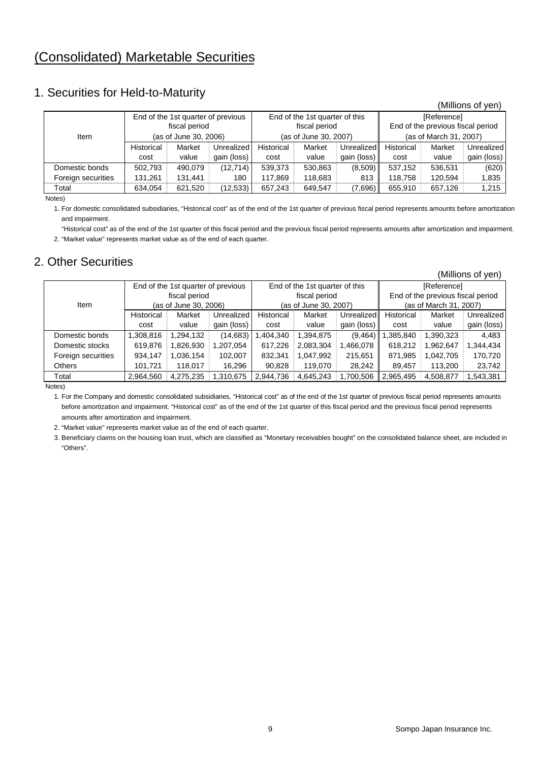## 1. Securities for Held-to-Maturity

|                    |                       |                                    |             |               |                                |                                   |                        |         | (Millions of yen) |  |
|--------------------|-----------------------|------------------------------------|-------------|---------------|--------------------------------|-----------------------------------|------------------------|---------|-------------------|--|
|                    |                       | End of the 1st quarter of previous |             |               | End of the 1st quarter of this |                                   | [Reference]            |         |                   |  |
| fiscal period      |                       |                                    |             | fiscal period |                                | End of the previous fiscal period |                        |         |                   |  |
| Item               | (as of June 30, 2006) |                                    |             |               | (as of June 30, 2007)          |                                   | (as of March 31, 2007) |         |                   |  |
|                    | Historical            | Market                             | Unrealized  | Historical    | Market                         | <b>Unrealized</b>                 | Historical             | Market  | Unrealized        |  |
|                    | cost                  | value                              | gain (loss) | cost          | value                          | gain (loss)                       | cost                   | value   | gain (loss)       |  |
| Domestic bonds     | 502,793               | 490.079                            | (12, 714)   | 539,373       | 530,863                        | (8,509)                           | 537,152                | 536.531 | (620)             |  |
| Foreign securities | 131,261               | 131,441                            | 180         | 117,869       | 118,683                        | 813                               | 118,758                | 120.594 | 1,835             |  |
| Total              | 634,054               | 621,520                            | (12, 533)   | 657,243       | 649,547                        | (7,696)                           | 655,910                | 657,126 | 1,215             |  |

Notes)

1. For domestic consolidated subsidiaries, "Historical cost" as of the end of the 1st quarter of previous fiscal period represents amounts before amortization and impairment.

 "Historical cost" as of the end of the 1st quarter of this fiscal period and the previous fiscal period represents amounts after amortization and impairment. 2. "Market value" represents market value as of the end of each quarter.

### 2. Other Securities

|                    |                       |                                    |                   |            |                                |             |            |                                   | (Millions of yen) |  |  |
|--------------------|-----------------------|------------------------------------|-------------------|------------|--------------------------------|-------------|------------|-----------------------------------|-------------------|--|--|
|                    |                       | End of the 1st quarter of previous |                   |            | End of the 1st quarter of this |             |            | [Reference]                       |                   |  |  |
|                    |                       | fiscal period                      |                   |            | fiscal period                  |             |            | End of the previous fiscal period |                   |  |  |
| Item               | (as of June 30, 2006) |                                    |                   |            | (as of June 30, 2007)          |             |            | (as of March 31, 2007)            |                   |  |  |
|                    | Historical            | Market                             | <b>Unrealized</b> | Historical | Market                         | Unrealized  | Historical | Market                            | Unrealized        |  |  |
|                    | cost                  | value                              | gain (loss)       | cost       | value                          | gain (loss) | cost       | value                             | gain (loss)       |  |  |
| Domestic bonds     | ,308,816              | 1,294,132                          | (14, 683)         | ,404,340   | 1,394,875                      | (9,464)     | ,385,840   | 1,390,323                         | 4,483             |  |  |
| Domestic stocks    | 619,876               | 1,826,930                          | 1,207,054         | 617,226    | 2,083,304                      | .466,078    | 618,212    | 1,962,647                         | 1,344,434         |  |  |
| Foreign securities | 934,147               | 1,036,154                          | 102,007           | 832,341    | 1,047,992                      | 215,651     | 871,985    | 1.042.705                         | 170,720           |  |  |
| <b>Others</b>      | 101.721               | 118.017                            | 16,296            | 90,828     | 119,070                        | 28,242      | 89,457     | 113,200                           | 23,742            |  |  |
| Total              | 2,964,560             | 4,275,235                          | 1,310,675         | 2,944,736  | 4,645,243                      | ,700,506    | 2,965,495  | 4,508,877                         | .543,381          |  |  |

Notes)

1. For the Company and domestic consolidated subsidiaries, "Historical cost" as of the end of the 1st quarter of previous fiscal period represents amounts before amortization and impairment. "Historical cost" as of the end of the 1st quarter of this fiscal period and the previous fiscal period represents amounts after amortization and impairment.

2. "Market value" represents market value as of the end of each quarter.

3. Beneficiary claims on the housing loan trust, which are classified as "Monetary receivables bought" on the consolidated balance sheet, are included in "Others".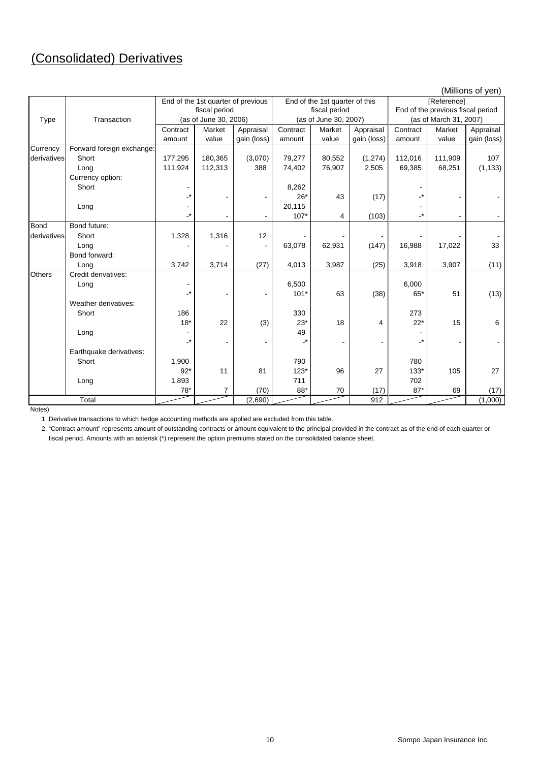# (Consolidated) Derivatives

|               |                           |               |                                    |             |                            |                                |             |             | (Millions of yen)                 |             |  |  |
|---------------|---------------------------|---------------|------------------------------------|-------------|----------------------------|--------------------------------|-------------|-------------|-----------------------------------|-------------|--|--|
|               |                           |               | End of the 1st quarter of previous |             |                            | End of the 1st quarter of this |             | [Reference] |                                   |             |  |  |
|               |                           | fiscal period |                                    |             |                            | fiscal period                  |             |             | End of the previous fiscal period |             |  |  |
| Type          | Transaction               |               | (as of June 30, 2006)              |             |                            | (as of June 30, 2007)          |             |             | (as of March 31, 2007)            |             |  |  |
|               |                           | Contract      | Market                             | Appraisal   | Contract                   | Market                         | Appraisal   | Contract    | Market                            | Appraisal   |  |  |
|               |                           | amount        | value                              | gain (loss) | amount                     | value                          | gain (loss) | amount      | value                             | gain (loss) |  |  |
| Currency      | Forward foreign exchange: |               |                                    |             |                            |                                |             |             |                                   |             |  |  |
| derivatives   | Short                     | 177,295       | 180,365                            | (3,070)     | 79,277                     | 80,552                         | (1,274)     | 112,016     | 111,909                           | 107         |  |  |
|               | Long                      | 111,924       | 112,313                            | 388         | 74,402                     | 76,907                         | 2,505       | 69,385      | 68,251                            | (1, 133)    |  |  |
|               | Currency option:          |               |                                    |             |                            |                                |             |             |                                   |             |  |  |
|               | Short                     |               |                                    |             | 8,262                      |                                |             |             |                                   |             |  |  |
|               |                           | -*            |                                    |             | $26*$                      | 43                             | (17)        |             |                                   |             |  |  |
|               | Long                      |               |                                    |             | 20,115                     |                                |             |             |                                   |             |  |  |
|               |                           | -*            |                                    |             | $107*$                     | 4                              | (103)       | -*          | $\overline{\phantom{a}}$          |             |  |  |
| Bond          | Bond future:              |               |                                    |             |                            |                                |             |             |                                   |             |  |  |
| derivatives   | Short                     | 1,328         | 1,316                              | 12          |                            |                                |             |             |                                   |             |  |  |
|               | Long                      |               |                                    |             | 63,078                     | 62,931                         | (147)       | 16,988      | 17,022                            | 33          |  |  |
|               | Bond forward:             |               |                                    |             |                            |                                |             |             |                                   |             |  |  |
|               | Long                      | 3,742         | 3,714                              | (27)        | 4,013                      | 3,987                          | (25)        | 3,918       | 3,907                             | (11)        |  |  |
| <b>Others</b> | Credit derivatives:       |               |                                    |             |                            |                                |             |             |                                   |             |  |  |
|               | Long                      |               |                                    |             | 6,500                      |                                |             | 6,000       |                                   |             |  |  |
|               |                           |               |                                    |             | $101*$                     | 63                             | (38)        | 65*         | 51                                | (13)        |  |  |
|               | Weather derivatives:      |               |                                    |             |                            |                                |             |             |                                   |             |  |  |
|               | Short                     | 186           |                                    |             | 330                        |                                |             | 273         |                                   |             |  |  |
|               |                           | $18*$         | 22                                 | (3)         | $23*$                      | 18                             | 4           | $22*$       | 15                                | 6           |  |  |
|               | Long                      |               |                                    |             | 49                         |                                |             |             |                                   |             |  |  |
|               |                           | -*            |                                    |             | $\overline{\phantom{a}}^*$ |                                |             |             |                                   |             |  |  |
|               | Earthquake derivatives:   |               |                                    |             |                            |                                |             |             |                                   |             |  |  |
|               | Short                     | 1,900         |                                    |             | 790                        |                                |             | 780         |                                   |             |  |  |
|               |                           | $92*$         | 11                                 | 81          | $123*$                     | 96                             | 27          | $133*$      | 105                               | 27          |  |  |
|               | Long                      | 1,893         |                                    |             | 711                        |                                |             | 702         |                                   |             |  |  |
|               |                           | 78*           | 7                                  | (70)        | 88*                        | 70                             | (17)        | $87*$       | 69                                | (17)        |  |  |
|               | Total                     |               |                                    | (2,690)     |                            |                                | 912         |             |                                   | (1,000)     |  |  |

Notes)

1. Derivative transactions to which hedge accounting methods are applied are excluded from this table.

2. "Contract amount" represents amount of outstanding contracts or amount equivalent to the principal provided in the contract as of the end of each quarter or fiscal period. Amounts with an asterisk (\*) represent the option premiums stated on the consolidated balance sheet.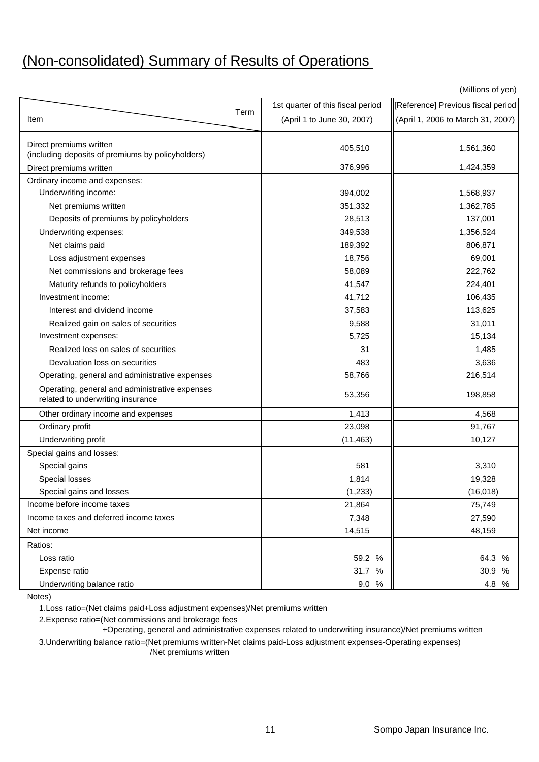# (Non-consolidated) Summary of Results of Operations

(Millions of yen)

|                                                                                     | 1st quarter of this fiscal period | [Reference] Previous fiscal period |
|-------------------------------------------------------------------------------------|-----------------------------------|------------------------------------|
| Term<br>Item                                                                        | (April 1 to June 30, 2007)        | (April 1, 2006 to March 31, 2007)  |
| Direct premiums written                                                             |                                   |                                    |
| (including deposits of premiums by policyholders)                                   | 405,510                           | 1,561,360                          |
| Direct premiums written                                                             | 376,996                           | 1,424,359                          |
| Ordinary income and expenses:                                                       |                                   |                                    |
| Underwriting income:                                                                | 394,002                           | 1,568,937                          |
| Net premiums written                                                                | 351,332                           | 1,362,785                          |
| Deposits of premiums by policyholders                                               | 28,513                            | 137,001                            |
| Underwriting expenses:                                                              | 349,538                           | 1,356,524                          |
| Net claims paid                                                                     | 189,392                           | 806,871                            |
| Loss adjustment expenses                                                            | 18,756                            | 69,001                             |
| Net commissions and brokerage fees                                                  | 58,089                            | 222,762                            |
| Maturity refunds to policyholders                                                   | 41,547                            | 224,401                            |
| Investment income:                                                                  | 41,712                            | 106,435                            |
| Interest and dividend income                                                        | 37,583                            | 113,625                            |
| Realized gain on sales of securities                                                | 9,588                             | 31,011                             |
| Investment expenses:                                                                | 5,725                             | 15,134                             |
| Realized loss on sales of securities                                                | 31                                | 1,485                              |
| Devaluation loss on securities                                                      | 483                               | 3,636                              |
| Operating, general and administrative expenses                                      | 58,766                            | 216,514                            |
| Operating, general and administrative expenses<br>related to underwriting insurance | 53,356                            | 198,858                            |
| Other ordinary income and expenses                                                  | 1,413                             | 4,568                              |
| Ordinary profit                                                                     | 23,098                            | 91,767                             |
| Underwriting profit                                                                 | (11, 463)                         | 10,127                             |
| Special gains and losses:                                                           |                                   |                                    |
| Special gains                                                                       | 581                               | 3,310                              |
| Special losses                                                                      | 1,814                             | 19,328                             |
| Special gains and losses                                                            | (1, 233)                          | (16, 018)                          |
| Income before income taxes                                                          | 21,864                            | 75,749                             |
| Income taxes and deferred income taxes                                              | 7,348                             | 27,590                             |
| Net income                                                                          | 14,515                            | 48,159                             |
| Ratios:                                                                             |                                   |                                    |
| Loss ratio                                                                          | 59.2 %                            | 64.3 %                             |
| Expense ratio                                                                       | 31.7 %                            | 30.9 %                             |
| Underwriting balance ratio                                                          | 9.0 %                             | 4.8 %                              |

Notes)

1.Loss ratio=(Net claims paid+Loss adjustment expenses)/Net premiums written

2.Expense ratio=(Net commissions and brokerage fees

+Operating, general and administrative expenses related to underwriting insurance)/Net premiums written

3.Underwriting balance ratio=(Net premiums written-Net claims paid-Loss adjustment expenses-Operating expenses) /Net premiums written